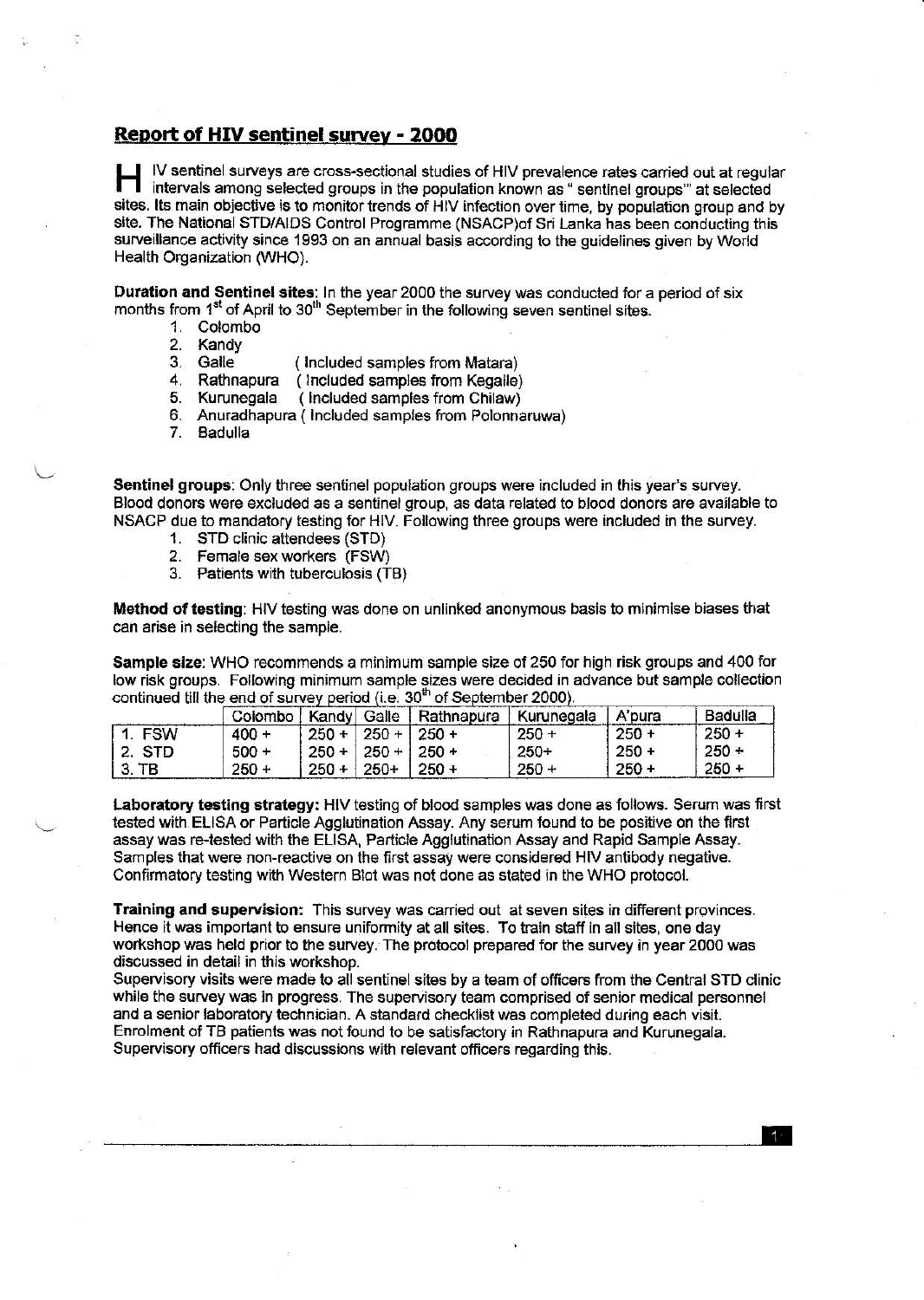# Report of HIV sentinel survev - 2OOO

IV sentinel surveys are cross-sectional studies of HIV prevalence rates carried out at regular intervals among selected groups in the population known as " sentinel groups" at selected sites. Its main objective is to monitor trends of HIV infection over time, by population group and by site. The National STD/AIDS Control Programme (NSACP)of Sri Lanka has been conducting this surveillance activity since 1993 on an annual basis according to the guidelines given by World Health Organization (WHO).

Duration and Sentinel sites: In the year 2000 the survey was conducted for a period of six months from 1<sup>st</sup> of April to 30<sup>th</sup> September in the following seven sentinel sites.<br>
1. Colombo<br>
2. Kandy<br>
3. Galle (Included samples from Matara)

- 
- 
- 
- 4. Rathnapura ( Included samples from Kegalle)
- 5. Kurunegala ( Included samples from Chilaw)
- 6. Anuradhapura ( lncluded samples from Polonnanrwa) 7. Badulla
- 

Sentinel groups: Only three sentinel population groups were included in this year's survey. Blood donors were excluded as a sentinel group, as data related to blood donors are available to NSACP due to mandatory testing for HIV. Following three groups were included in the survey.

- 1. STD clinic attendees (STD)
- 2. Female sex workers (FSW)
- 3. Patients with tuberculosis (TB)

98

Method of testing: HIV testing was dohe on unlinked anonymous basis to minimise biases that can arise in selecting the sample.

Sample size: WHO recommends a minimum sample size of 250 for high risk groups and 400 for low risk groups. Following minimum sample sizes were decided in advance but sample collection continued till the end of survey period (i.e. 30<sup>th</sup> of September 2000).

|          |         |                     |               | Colombo   Kandy   Galle   Rathnapura | Kurunegala | A'pura  | Badulla |
|----------|---------|---------------------|---------------|--------------------------------------|------------|---------|---------|
| 1. FSW   | $400 +$ | $250 +$             | $250 + 250 +$ |                                      | $250 +$    | $250 +$ | $250 +$ |
| ' 2. STD | $500 +$ | $250 + 250 + 250 +$ |               |                                      | $250+$     | $250 +$ | $250 +$ |
| $3.$ TB  | $250 +$ | $250 + 1$           | 250+          | $1250 +$                             | $250 +$    | $250 +$ | $250 +$ |

Laboratory testing strategy: Hlv testing of blood samples was done as followg. Serum was frst tested with ELISA or Particle Agglutjnation Assay. Any serum found to be positive on the first assay was re-tested with the ELISA, Particle Agglutination Assay and Rapid Sample Assay. Samples that were non-reactive on the first assay were considered HIV antibody negative. Confirmatory testing with Western Blot was not done as stated in the WHO protocol.

Training and supervision: This survey was carried out at seven sites in different provinces. Hence it was important to ensure uniformity at all sites. To train staff in all sites, one day workshop was held prior to the survey. The protocol prepared for the survey in year 2000 was discussed in detail in this workshop.

Supervisory visits were made to all sentinel sites by a team of officers from the Central STD clinic while the survey was jn progress. The supervisory team comprised of senior medical personnel and a senior laboratory technician. A standard checklist was completed during each visit. Enrolment of TB patients was not found to be satisfactory in Rathnapura and Kurunegala. Supervisory officers had discussions with relevant officers regarding this.

E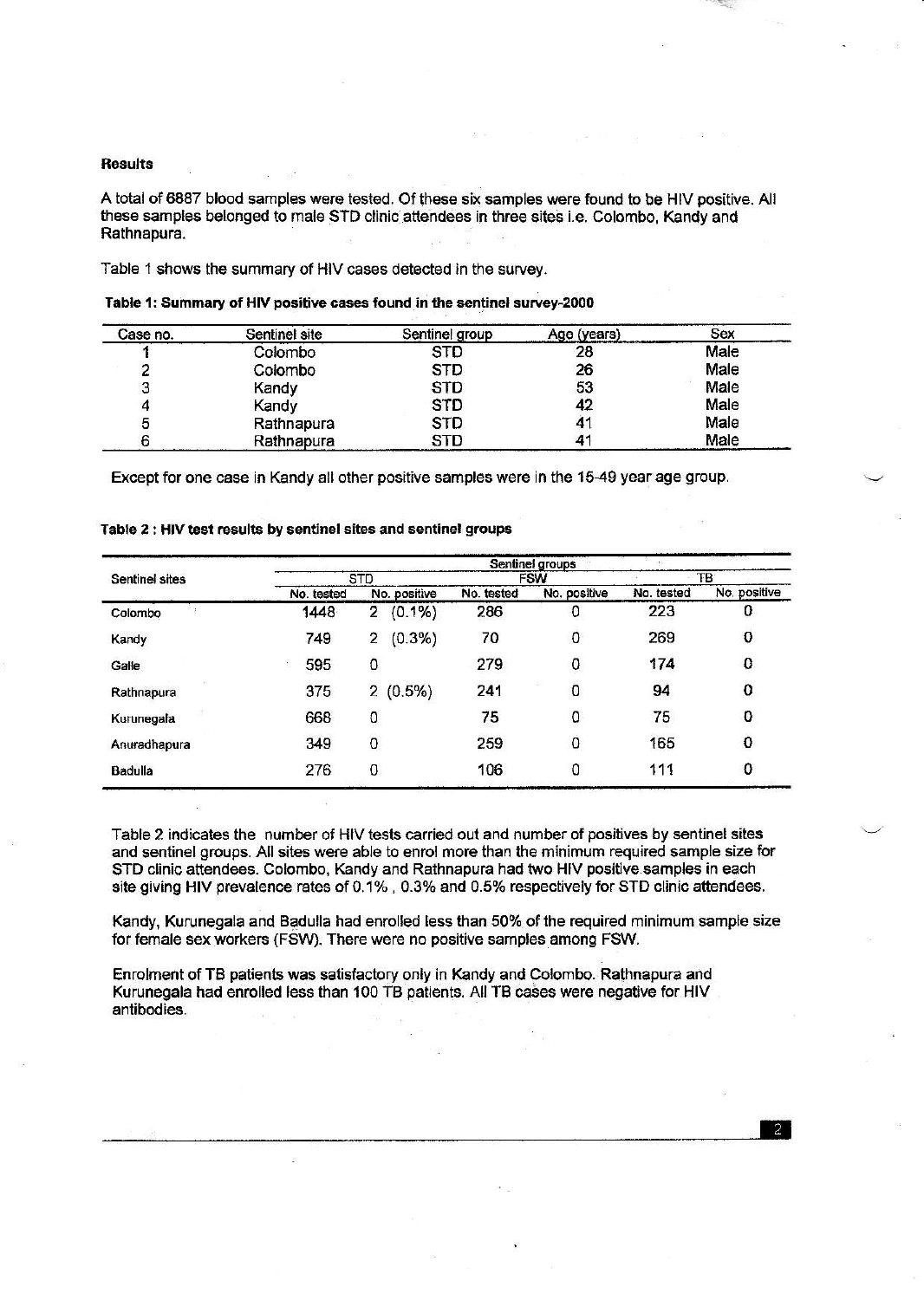# **Results**

A total of 6887 blood samples were tested. Of these six samples were found to be HIV positive. All these samples belonged to male STD clinic attendees in three sites i.e. Colombo, Kandy and Rathnapura.

Table 1 shows the summary of HIV cases detected in the survey.

| Case no. | Sentinel site | Sentinel group | Age (years) | Sex  |
|----------|---------------|----------------|-------------|------|
|          | Colombo       | <b>STD</b>     | 28          | Male |
|          | Colombo       | <b>STD</b>     | 26          | Male |
| з        | Kandy         | <b>STD</b>     | 53          | Male |
| 4        | Kandy         | <b>STD</b>     | 42          | Male |
| 5        | Rathnapura    | <b>STD</b>     | 41          | Male |
|          | Rathnapura    | <b>STD</b>     |             | Male |

| Table 1: Summary of HIV positive cases found in the sentinel survey-2000 |  |  |  |
|--------------------------------------------------------------------------|--|--|--|
|                                                                          |  |  |  |

Except for one case in Kandy all other positive samples were in the 15-49 year age group.

|                       |            |                |            | Sentinel groups |            |              |
|-----------------------|------------|----------------|------------|-----------------|------------|--------------|
| <b>Sentinel sites</b> |            | <b>STD</b>     |            | <b>FSW</b>      |            | TB           |
|                       | No. tested | No. positive   | No. tested | No. positive    | No. tested | No. positive |
| Colombo               | 1448       | (0.1%<br>2     | 286        | 0               | 223        | 0            |
| Kandy                 | 749        | $(0.3\%)$<br>2 | 70         | 0               | 269        | 0            |
| Galle                 | 595        | 0              | 279        | 0               | 174        | 0            |
| Rathnapura            | 375        | 2(0.5%)        | 241        | 0               | 94         | 0            |
| Kurunegala            | 668        | 0              | 75         | 0               | 75         | 0            |
| Anuradhapura          | 349        | 0              | 259        | ٥               | 165        | 0            |
| Badulla               | 276        | 0              | 106        | 0               | 111        | 0            |

#### Table 2 : HIV test results by sentinel sites and sentinel groups

Table 2 indicates the number of HIV tests carried out and number of positives by sentinel sites and sentinel groups. All sites were able to enrol more than the minimum required sample size for STD clinic attendees. Colombo, Kandy and Rathnapura had two HIV positive samples in each site giving HIV prevalence rates of 0.1%, 0.3% and 0.5% respectively for STD clinic attendees.

Kandy, Kurunegala and Badulla had enrolled less than 50% of the required minimum sample size for female sex workers (FSW). There were no positive samples among FSW.

Enrolment of TB patients was satisfactory only in Kandy and Colombo. Rathnapura and Kurunegala had enrolled less than 100 TB patients. All TB cases were negative for HIV antibodies.

 $\mathfrak{D}$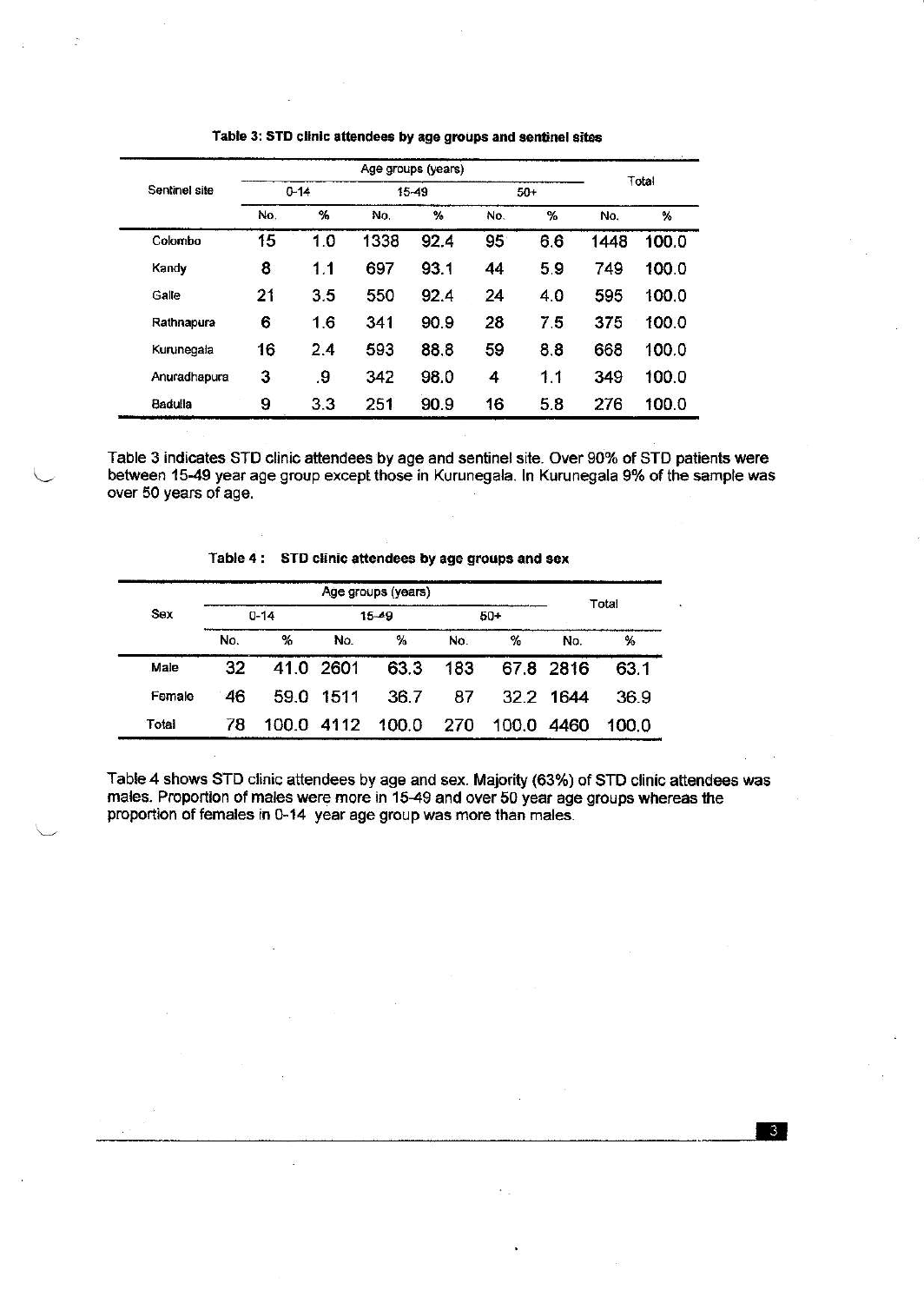|                                                          |          |     | Total |      |       |     |      |       |
|----------------------------------------------------------|----------|-----|-------|------|-------|-----|------|-------|
|                                                          | $0 - 14$ |     | 15-49 |      | $50+$ |     |      |       |
| Sentinel site<br>Colombo<br>Kandy<br>Galle<br>Rathnapura | No.      | %   | No.   | %    | No.   | %   | No.  | %     |
|                                                          | 15       | 1.0 | 1338  | 92.4 | 95    | 6.6 | 1448 | 100.0 |
|                                                          | 8        | 1.1 | 697   | 93.1 | 44    | 5.9 | 749  | 100.0 |
|                                                          | 21       | 3.5 | 550   | 92.4 | 24    | 4.0 | 595  | 100.0 |
|                                                          | 6        | 1.6 | 341   | 90.9 | 28    | 7.5 | 375  | 100.0 |
| Kurunegala                                               | 16       | 2.4 | 593   | 88.8 | 59    | 8.8 | 668  | 100.0 |
| Anuradhapura                                             | 3        | .9  | 342   | 98.0 | 4     | 1.1 | 349  | 100.0 |
| Badulla                                                  | 9        | 3.3 | 251   | 90.9 | 16    | 5.8 | 276  | 100.0 |

Table 3: STD clinic attendees by age groups and sentinel sites

Table 3 indicates STD clinic attendees by age and sentinel site. Over 90% of STD patients were between 15-49 year age group except those in Kurunegala. In Kurunegala 9% of the sample was over 50 years of age.

# Table 4: STD clinic attendees by age groups and sex

|        |          |      |            | Total     |     |       |           |       |  |
|--------|----------|------|------------|-----------|-----|-------|-----------|-------|--|
| Sex    | $0 - 14$ |      |            | $15 - 49$ |     | $50+$ |           |       |  |
|        | No.      | %    | No.        | %         | No. | %     | No.       | %     |  |
| Male   | 32       |      | 41.0 2601  | 63.3      | 183 |       | 67.8 2816 | 63.1  |  |
| Female | 46       | 59.0 | 1511       | 36.7      | 87  |       | 32.2 1644 | 36.9  |  |
| Total  | 78       |      | 100.0 4112 | 100.0     | 270 | 100.0 | 4460      | 100.0 |  |

 $\overline{2}$ 

Table 4 shows STD clinic attendees by age and sex. Majority (63%) of STD clinic attendees was males. Proportion of males were more in 15-49 and over 50 year age groups whereas the proportion of females in 0-14 year age group was more than males.

 $3<sup>1</sup>$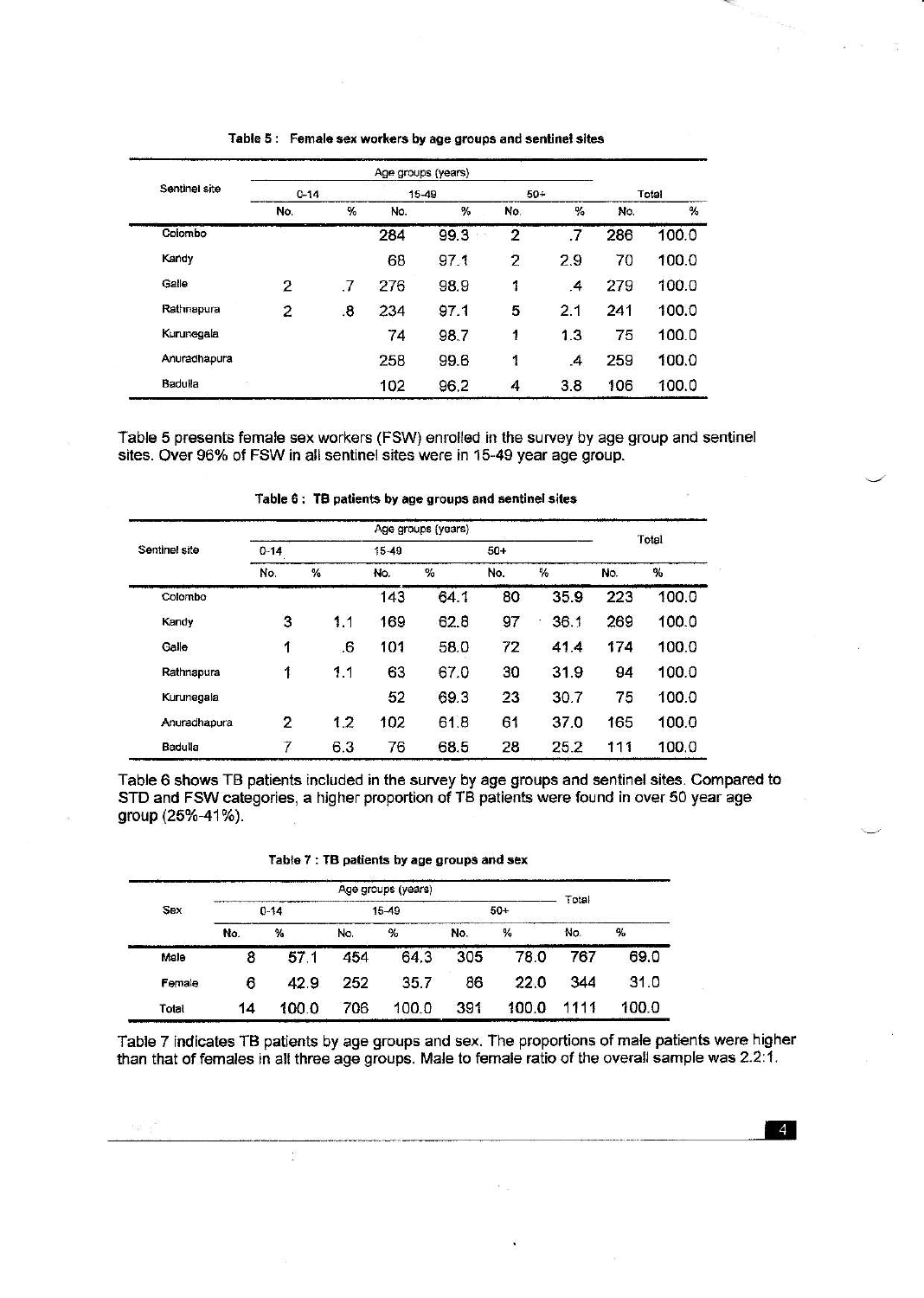|               |                |    |     | Age groups (years) |                |               |       |       |
|---------------|----------------|----|-----|--------------------|----------------|---------------|-------|-------|
| Sentinel site | $0 - 14$       |    |     | $15 - 49$          | $50+$          |               | Total |       |
|               | No.            | %  | No. | %                  | No.            | %             | No.   | %     |
| Colombo       |                |    | 284 | 99.3               | $\overline{2}$ | .7            | 286   | 100.0 |
| Kandy         |                |    | 68  | 97.1               | $\overline{c}$ | 2.9           | 70    | 100.0 |
| Galle         | 2              | .7 | 276 | 98.9               | 1              | $\cdot$       | 279   | 100.0 |
| Rathnapura    | $\overline{2}$ | .8 | 234 | 97.1               | 5              | 2.1           | 241   | 100.0 |
| Kurunegala    |                |    | 74  | 98.7               | 1              | 1.3           | 75    | 100.0 |
| Anuradhapura  |                |    | 258 | 99.6               | 1              | $\mathcal{A}$ | 259   | 100.0 |
| Badulla<br>33 |                |    | 102 | 96.2               | 4              | 3.8           | 106   | 100.0 |

#### Table 5: Female sex workers by age groups and sentinel sites

Table 5 presents female sex workers (FSW) enrolled in the survey by age group and sentinel sites. Over 96% of FSW in all sentinel sites were in 15-49 year age group.

# Table 6: TB patients by age groups and sentinel sites

|               |                |     |       | Age groups (years) |       |      |       |       |  |
|---------------|----------------|-----|-------|--------------------|-------|------|-------|-------|--|
| Sentinel site | $0 - 14$       |     | 15-49 |                    | $50+$ |      | Total |       |  |
|               | No.            | %   | No.   | %                  | No.   | %    | No.   | $\%$  |  |
| Colombo       |                |     | 143   | 64.1               | 80    | 35.9 | 223   | 100.0 |  |
| Kandy         | 3              | 1.1 | 169   | 62.8               | 97    | 36.1 | 269   | 100.0 |  |
| Galle         | 1              | 6.  | 101   | 58.0               | 72    | 41.4 | 174   | 100.0 |  |
| Rathnapura    | 1              | 1.1 | 63    | 67.0               | 30    | 31.9 | 94    | 100.0 |  |
| Kurunegala    |                |     | 52    | 69.3               | 23    | 30.7 | 75    | 100.0 |  |
| Anuradhapura  | $\overline{2}$ | 1.2 | 102   | 61.8               | 61    | 37.0 | 165   | 100.0 |  |
| Badulla       | 7              | 6.3 | 76    | 68.5               | 28    | 25.2 | 111   | 100.0 |  |

Table 6 shows TB patients included in the survey by age groups and sentinel sites. Compared to STD and FSW categories, a higher proportion of TB patients were found in over 50 year age group (25%-41%).

| Table 7 : TB patients by age groups and sex |  |  |
|---------------------------------------------|--|--|
|---------------------------------------------|--|--|

|        |     |          |     | Age groups (years) |     |       | Total |               |
|--------|-----|----------|-----|--------------------|-----|-------|-------|---------------|
| Sex    |     | $0 - 14$ |     | $15 - 49$          |     | $50+$ |       |               |
|        | No. | %        | No. | %                  | No. | %     | No.   | $\frac{9}{6}$ |
| Male   | 8   | 57.1     | 454 | 64.3               | 305 | 78.0  | 767   | 69.0          |
| Female | 6   | 42.9     | 252 | 35.7               | 86  | 22.0  | 344   | 31.0          |
| Total  | 14  | 100.0    | 706 | 100.0              | 391 | 100.0 | 1111  | 100.0         |

 $\frac{1}{2}$ 

 $\mathbb{Q} \mathfrak{g}$  .

Table 7 indicates TB patients by age groups and sex. The proportions of male patients were higher than that of females in all three age groups. Male to female ratio of the overall sample was 2.2:1.

 $\overline{4}$